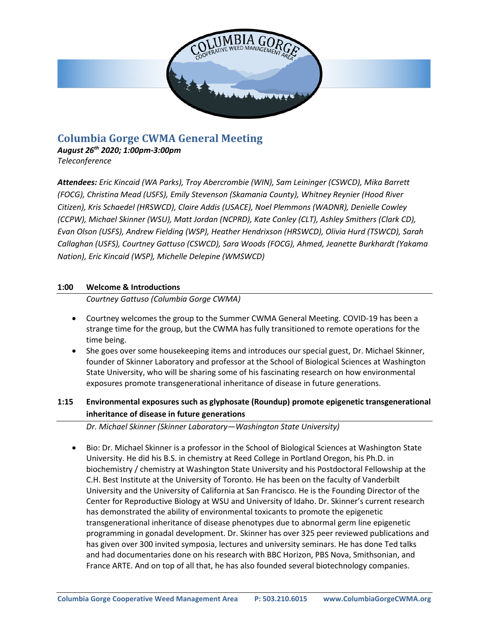

# **Columbia Gorge CWMA General Meeting**

*August 26th 2020; 1:00pm-3:00pm Teleconference*

*Attendees: Eric Kincaid (WA Parks), Troy Abercrombie (WIN), Sam Leininger (CSWCD), Mika Barrett (FOCG), Christina Mead (USFS), Emily Stevenson (Skamania County), Whitney Reynier (Hood River Citizen), Kris Schaedel (HRSWCD), Claire Addis (USACE), Noel Plemmons (WADNR), Denielle Cowley (CCPW), Michael Skinner (WSU), Matt Jordan (NCPRD), Kate Conley (CLT), Ashley Smithers (Clark CD), Evan Olson (USFS), Andrew Fielding (WSP), Heather Hendrixson (HRSWCD), Olivia Hurd (TSWCD), Sarah Callaghan (USFS), Courtney Gattuso (CSWCD), Sara Woods (FOCG), Ahmed, Jeanette Burkhardt (Yakama Nation), Eric Kincaid (WSP), Michelle Delepine (WMSWCD)*

### **1:00 Welcome & Introductions**

*Courtney Gattuso (Columbia Gorge CWMA)*

- Courtney welcomes the group to the Summer CWMA General Meeting. COVID-19 has been a strange time for the group, but the CWMA has fully transitioned to remote operations for the time being.
- She goes over some housekeeping items and introduces our special guest, Dr. Michael Skinner, founder of Skinner Laboratory and professor at the School of Biological Sciences at Washington State University, who will be sharing some of his fascinating research on how environmental exposures promote transgenerational inheritance of disease in future generations.

### **1:15 Environmental exposures such as glyphosate (Roundup) promote epigenetic transgenerational inheritance of disease in future generations**

*Dr. Michael Skinner (Skinner Laboratory—Washington State University)*

• Bio: Dr. Michael Skinner is a professor in the School of Biological Sciences at Washington State University. He did his B.S. in chemistry at Reed College in Portland Oregon, his Ph.D. in biochemistry / chemistry at Washington State University and his Postdoctoral Fellowship at the C.H. Best Institute at the University of Toronto. He has been on the faculty of Vanderbilt University and the University of California at San Francisco. He is the Founding Director of the Center for Reproductive Biology at WSU and University of Idaho. Dr. Skinner's current research has demonstrated the ability of environmental toxicants to promote the epigenetic transgenerational inheritance of disease phenotypes due to abnormal germ line epigenetic programming in gonadal development. Dr. Skinner has over 325 peer reviewed publications and has given over 300 invited symposia, lectures and university seminars. He has done Ted talks and had documentaries done on his research with BBC Horizon, PBS Nova, Smithsonian, and France ARTE. And on top of all that, he has also founded several biotechnology companies.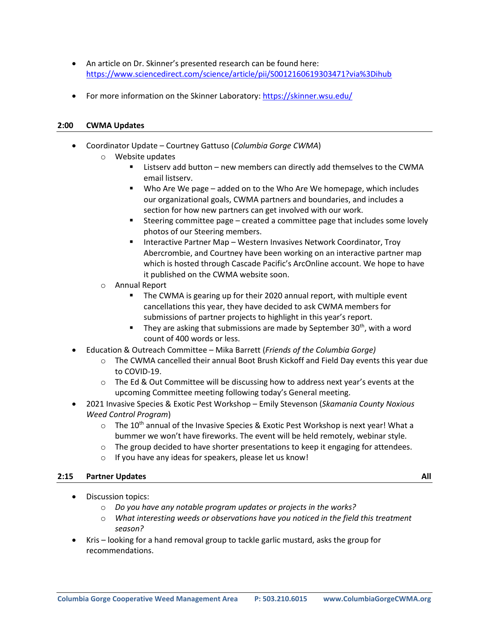- An article on Dr. Skinner's presented research can be found here: <https://www.sciencedirect.com/science/article/pii/S0012160619303471?via%3Dihub>
- For more information on the Skinner Laboratory: <https://skinner.wsu.edu/>

#### **2:00 CWMA Updates**

- Coordinator Update Courtney Gattuso (*Columbia Gorge CWMA*)
	- o Website updates
		- Listserv add button new members can directly add themselves to the CWMA email listserv.
		- Who Are We page added on to the Who Are We homepage, which includes our organizational goals, CWMA partners and boundaries, and includes a section for how new partners can get involved with our work.
		- Steering committee page created a committee page that includes some lovely photos of our Steering members.
		- Interactive Partner Map Western Invasives Network Coordinator, Troy Abercrombie, and Courtney have been working on an interactive partner map which is hosted through Cascade Pacific's ArcOnline account. We hope to have it published on the CWMA website soon.
	- o Annual Report
		- The CWMA is gearing up for their 2020 annual report, with multiple event cancellations this year, they have decided to ask CWMA members for submissions of partner projects to highlight in this year's report.
		- They are asking that submissions are made by September  $30<sup>th</sup>$ , with a word count of 400 words or less.
- Education & Outreach Committee Mika Barrett (*Friends of the Columbia Gorge)*
	- $\circ$  The CWMA cancelled their annual Boot Brush Kickoff and Field Day events this year due to COVID-19.
	- $\circ$  The Ed & Out Committee will be discussing how to address next year's events at the upcoming Committee meeting following today's General meeting.
- 2021 Invasive Species & Exotic Pest Workshop Emily Stevenson (*Skamania County Noxious Weed Control Program*)
	- $\circ$  The 10<sup>th</sup> annual of the Invasive Species & Exotic Pest Workshop is next year! What a bummer we won't have fireworks. The event will be held remotely, webinar style.
	- $\circ$  The group decided to have shorter presentations to keep it engaging for attendees.
	- o If you have any ideas for speakers, please let us know!

#### **2:15 Partner Updates All**

- Discussion topics:
	- o *Do you have any notable program updates or projects in the works?*
	- o *What interesting weeds or observations have you noticed in the field this treatment season?*
- Kris looking for a hand removal group to tackle garlic mustard, asks the group for recommendations.